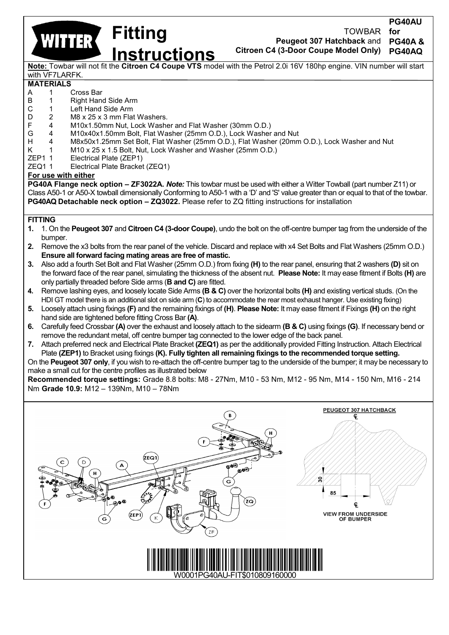**Fitting WITTER Instructions**

TOWBAR **Peugeot 307 Hatchback** and **Citroen C4 (3-Door Coupe Model Only) for PG40A & PG40AQ**

**PG40AU**

**Note:** Towbar will not fit the **Citroen C4 Coupe VTS** model with the Petrol 2.0i 16V 180hp engine. VIN number will start with VF7LARFK.

## **MATERIALS**

- A 1 Cross Bar<br>B 1 Right Han
- B 1 Right Hand Side Arm<br>C 1 Left Hand Side Arm
- C 1 Left Hand Side Arm<br>D 2 M8 x 25 x 3 mm Fla
- D 2 M8 x 25 x 3 mm Flat Washers.<br>F 4 M10x1.50mm Nut. Lock Washe
- F 4 M10x1.50mm Nut, Lock Washer and Flat Washer (30mm O.D.) G 4 M10x40x1.50mm Bolt, Flat Washer (25mm O.D.), Lock Washer and Nut
- H 4 M8x50x1.25mm Set Bolt, Flat Washer (25mm O.D.), Flat Washer (20mm O.D.), Lock Washer and Nut
- K 1 M10 x 25 x 1.5 Bolt, Nut, Lock Washer and Washer (25mm O.D.)
- ZEP1 1 Electrical Plate (ZEP1)
- ZEQ1 1 Electrical Plate Bracket (ZEQ1)

## **For use with either**

**PG40A Flange neck option – ZF3022A.** *Note:* This towbar must be used with either a Witter Towball (part number Z11) or Class A50-1 or A50-X towball dimensionally Conforming to A50-1 with a 'D' and 'S' value greater than or equal to that of the towbar. **PG40AQ Detachable neck option – ZQ3022.** Please refer to ZQ fitting instructions for installation

## **FITTING**

- **1.** 1. On the **Peugeot 307** and **Citroen C4 (3-door Coupe)**, undo the bolt on the off-centre bumper tag from the underside of the bumper.
- **2.** Remove the x3 bolts from the rear panel of the vehicle. Discard and replace with x4 Set Bolts and Flat Washers (25mm O.D.) **Ensure all forward facing mating areas are free of mastic.**
- **3.** Also add a fourth Set Bolt and Flat Washer (25mm O.D.) from fixing **(H)** to the rear panel, ensuring that 2 washers **(D)** sit on the forward face of the rear panel, simulating the thickness of the absent nut. **Please Note:** It may ease fitment if Bolts **(H)** are only partially threaded before Side arms (**B and C)** are fitted.
- **4.** Remove lashing eyes, and loosely locate Side Arms **(B & C)** over the horizontal bolts **(H)** and existing vertical studs. (On the HDI GT model there is an additional slot on side arm (**C**) to accommodate the rear most exhaust hanger. Use existing fixing)
- **5.** Loosely attach using fixings **(F)** and the remaining fixings of **(H)**. **Please Note:** It may ease fitment if Fixings **(H)** on the right hand side are tightened before fitting Cross Bar **(A)**.
- **6.** Carefully feed Crossbar **(A)** over the exhaust and loosely attach to the sidearm **(B & C)** using fixings **(G)**. If necessary bend or remove the redundant metal, off centre bumper tag connected to the lower edge of the back panel.
- **7.** Attach preferred neck and Electrical Plate Bracket **(ZEQ1)** as per the additionally provided Fitting Instruction. Attach Electrical Plate **(ZEP1)** to Bracket using fixings **(K). Fully tighten all remaining fixings to the recommended torque setting.**

On the **Peugeot 307 only**, if you wish to re-attach the off-centre bumper tag to the underside of the bumper; it may be necessary to make a small cut for the centre profiles as illustrated below

**Recommended torque settings:** Grade 8.8 bolts: M8 - 27Nm, M10 - 53 Nm, M12 - 95 Nm, M14 - 150 Nm, M16 - 214 Nm **Grade 10.9:** M12 – 139Nm, M10 – 78Nm